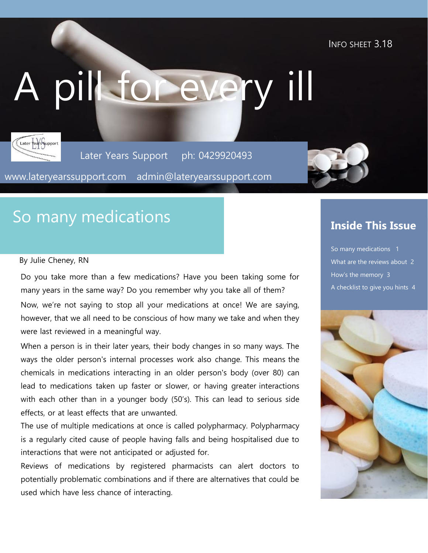INFO SHEET 3.18

# A pill for every ill



Later Years Support ph: 0429920493

www.lateryearssupport.com admin@lateryearssupport.com



## So many medications

#### By Julie Cheney, RN

Do you take more than a few medications? Have you been taking some for many years in the same way? Do you remember why you take all of them?

Now, we're not saying to stop all your medications at once! We are saying, however, that we all need to be conscious of how many we take and when they were last reviewed in a meaningful way.

When a person is in their later years, their body changes in so many ways. The ways the older person's internal processes work also change. This means the chemicals in medications interacting in an older person's body (over 80) can lead to medications taken up faster or slower, or having greater interactions with each other than in a younger body (50's). This can lead to serious side effects, or at least effects that are unwanted.

The use of multiple medications at once is called polypharmacy. Polypharmacy is a regularly cited cause of people having falls and being hospitalised due to interactions that were not anticipated or adjusted for.

Reviews of medications by registered pharmacists can alert doctors to potentially problematic combinations and if there are alternatives that could be used which have less chance of interacting.

#### **Inside This Issue**

So many medications 1 What are the reviews about 2 How's the memory 3 A checklist to give you hints 4

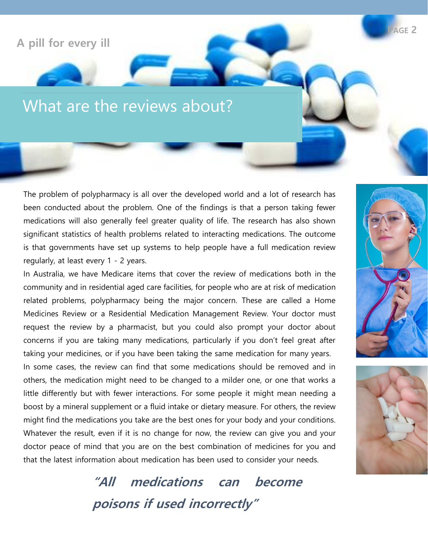#### **A pill for every ill**

## What are the reviews about?

The problem of polypharmacy is all over the developed world and a lot of research has been conducted about the problem. One of the findings is that a person taking fewer medications will also generally feel greater quality of life. The research has also shown significant statistics of health problems related to interacting medications. The outcome is that governments have set up systems to help people have a full medication review regularly, at least every 1 - 2 years.

In Australia, we have Medicare items that cover the review of medications both in the community and in residential aged care facilities, for people who are at risk of medication related problems, polypharmacy being the major concern. These are called a Home Medicines Review or a Residential Medication Management Review. Your doctor must request the review by a pharmacist, but you could also prompt your doctor about concerns if you are taking many medications, particularly if you don't feel great after taking your medicines, or if you have been taking the same medication for many years.

In some cases, the review can find that some medications should be removed and in others, the medication might need to be changed to a milder one, or one that works a little differently but with fewer interactions. For some people it might mean needing a boost by a mineral supplement or a fluid intake or dietary measure. For others, the review might find the medications you take are the best ones for your body and your conditions. Whatever the result, even if it is no change for now, the review can give you and your doctor peace of mind that you are on the best combination of medicines for you and that the latest information about medication has been used to consider your needs.

> **"All medications can become poisons if used incorrectly"**





**PAGE 2**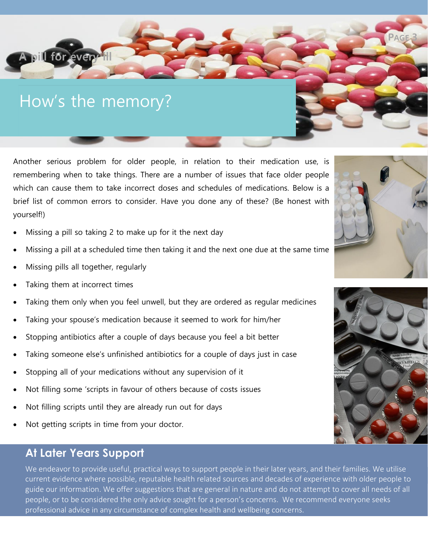## How's the memory?

*<b>Dill for every* 

Another serious problem for older people, in relation to their medication use, is remembering when to take things. There are a number of issues that face older people which can cause them to take incorrect doses and schedules of medications. Below is a brief list of common errors to consider. Have you done any of these? (Be honest with yourself!)

- Missing a pill so taking 2 to make up for it the next day
- Missing a pill at a scheduled time then taking it and the next one due at the same time
- Missing pills all together, regularly
- Taking them at incorrect times
- Taking them only when you feel unwell, but they are ordered as regular medicines
- Taking your spouse's medication because it seemed to work for him/her
- Stopping antibiotics after a couple of days because you feel a bit better
- Taking someone else's unfinished antibiotics for a couple of days just in case
- Stopping all of your medications without any supervision of it
- Not filling some 'scripts in favour of others because of costs issues
- Not filling scripts until they are already run out for days
- Not getting scripts in time from your doctor.

#### **At Later Years Support**

We endeavor to provide useful, practical ways to support people in their later years, and their families. We utilise current evidence where possible, reputable health related sources and decades of experience with older people to guide our information. We offer suggestions that are general in nature and do not attempt to cover all needs of all people, or to be considered the only advice sought for a person's concerns. We recommend everyone seeks professional advice in any circumstance of complex health and wellbeing concerns.



**PAGE 3**